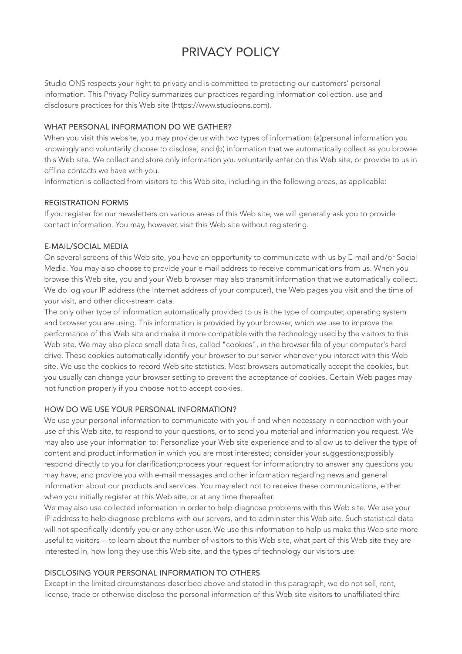# PRIVACY POLICY

Studio ONS respects your right to privacy and is committed to protecting our customers' personal information. This Privacy Policy summarizes our practices regarding information collection, use and disclosure practices for this Web site (https://www.studioons.com).

#### WHAT PERSONAL INFORMATION DO WE GATHER?

When you visit this website, you may provide us with two types of information: (a)personal information you knowingly and voluntarily choose to disclose, and (b) information that we automatically collect as you browse this Web site. We collect and store only information you voluntarily enter on this Web site, or provide to us in offline contacts we have with you.

Information is collected from visitors to this Web site, including in the following areas, as applicable:

# REGISTRATION FORMS

If you register for our newsletters on various areas of this Web site, we will generally ask you to provide contact information. You may, however, visit this Web site without registering.

### E-MAIL/SOCIAL MEDIA

On several screens of this Web site, you have an opportunity to communicate with us by E-mail and/or Social Media. You may also choose to provide your e mail address to receive communications from us. When you browse this Web site, you and your Web browser may also transmit information that we automatically collect. We do log your IP address (the Internet address of your computer), the Web pages you visit and the time of your visit, and other click-stream data.

The only other type of information automatically provided to us is the type of computer, operating system and browser you are using. This information is provided by your browser, which we use to improve the performance of this Web site and make it more compatible with the technology used by the visitors to this Web site. We may also place small data files, called "cookies", in the browser file of your computer's hard drive. These cookies automatically identify your browser to our server whenever you interact with this Web site. We use the cookies to record Web site statistics. Most browsers automatically accept the cookies, but you usually can change your browser setting to prevent the acceptance of cookies. Certain Web pages may not function properly if you choose not to accept cookies.

#### HOW DO WE USE YOUR PERSONAL INFORMATION?

We use your personal information to communicate with you if and when necessary in connection with your use of this Web site, to respond to your questions, or to send you material and information you request. We may also use your information to: Personalize your Web site experience and to allow us to deliver the type of content and product information in which you are most interested; consider your suggestions;possibly respond directly to you for clarification;process your request for information;try to answer any questions you may have; and provide you with e-mail messages and other information regarding news and general information about our products and services. You may elect not to receive these communications, either when you initially register at this Web site, or at any time thereafter.

We may also use collected information in order to help diagnose problems with this Web site. We use your IP address to help diagnose problems with our servers, and to administer this Web site. Such statistical data will not specifically identify you or any other user. We use this information to help us make this Web site more useful to visitors -- to learn about the number of visitors to this Web site, what part of this Web site they are interested in, how long they use this Web site, and the types of technology our visitors use.

# DISCLOSING YOUR PERSONAL INFORMATION TO OTHERS

Except in the limited circumstances described above and stated in this paragraph, we do not sell, rent, license, trade or otherwise disclose the personal information of this Web site visitors to unaffiliated third